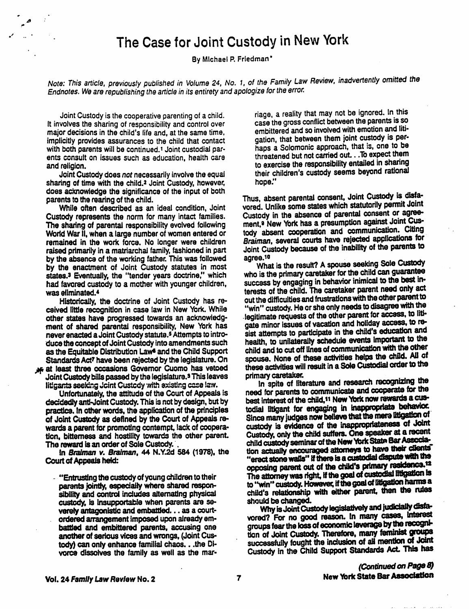## The Case for Joint Custody in New York

By Michael R Friedman\*

Note: This article, previously published in Volume 24, No. 1, of the Family Law Review, inadvertently omitted the Endnotes. We are republishing the article in its entirety and apologize for the error.

Joint Custody is the cooperative parenting of a child. riage, a reality that may not be ignored. In this It involves the sharing of responsibility and control over case the gross conflict between the parents is so major de major decisions in the child's life and, at the same time, embittered and so involved with emotion and in-<br>implicitly provides assurances to the child that contact gation, that between them joint custody is perwith both parents will be continued.<sup>1</sup> Joint custodial par-<br>ents consult on issues such as education, health care the threatened but not carried out. . To expect them ents consult on issues such as education, health care threatened but not carried out... To expect diemer<br>to exercise the responsibility entailed in sharing

sharing of time with the child.<sup>2</sup> Joint Custody, however, does acknowledge the significance of the input of both<br>parents to the rearing of the child. Thus, absent parental consent, Joint Custody is dista-

The sharing of parental responsibility evolved following ment, a New York has a presumption against Joint Cus-<br>World War II, when a large number of women entered or tody absent cooperation and communication. Citing World War II, when a large number of women entered or tody absent cooperation and communications. Giving remained in the work force. No longer were children Braiman, several courts have relected applications for remained in the work force. No longer were children Braiman, several courts have rejected applications for<br>raised primarily in a matriarchal family fashioned in part Joint Custody because of the inability of the parents to raised primarily in a matriarchal family, fashioned in part Joint Custody by the absence of the working father. This was followed agree.<sup>10</sup> by the enactment of Joint Custody statutes in most<br>states.<sup>3</sup> Eventually, the "tender years doctrine," which who is the primary caretaker for the child can guarantee<br>had favored custody to a mother with younger children. s

other states have progressed towards an acknowledg-<br>ment of shared parental responsibility, New York has gate minor issues of vacation and holiday access, to reflatter of shared participate in the child's education and<br>duce the concept of Joint Custody into amendments such health, to unilaterally schedule events important to the as the Equitable Distribution Laws and the Child Support child and to cut off lines of communication with the other<br>Standards Act7 have been rejected by the legislature. On spouse. None of these activities helps the child.

^ at least three occasions Governor Cuomo has vetoed these activities wil result in a Sole Custodial order to tne Joint Custody bills passed by the leglslalure.s This leaves primary caretaker. ^ tha

product control of the Court of Appeals re-<br>Wards a parent for promoting contempt. lack of coopera- custody is evidence of the inappropriateness of Joint wards a parent for promoting contempt, lack of coopera-<br>tion, bitterness and hostility towards the other parent. Custody, only the child suffers. One speaker at a recent

sibility and control includes alternating physical child's relationship with either parent, then the rules<br>custody, is insupportable when parents are se-<br>verely antagonistic and embattled... as a court-<br>Why is Joint Custod

Joint Custody does not necessarily involve the equal their children's custody seems beyond rational ing of time with the child.<sup>2</sup> Joint Custody, however, hope."

While often described as an ideal condition, Joint vored. Unlike some states which statutorily permit Joint Custody represents the norm for many intact families. Custody in the absence of parental consent or agree-

had favored custody to a mother with younger children, success by engaging in behavior inimical to the cost in<br>was eliminated.<sup>4</sup> terests of the child. The caretaker parent need only act Historically, the doctrine of Joint Custody has re-<br>ceived little recognition in case law in New York. While "win" custody. He or she only needs to disagree with the<br>other states have progressed towards an acknowledg- legi spouse. None of these activities helps the child. All of<br>these activities will result in a Sole Custodial order to the

Unfortunately, the attitude of the Court of Appeals is<br>decidedly anti-Joint Custody. This is not by design, but by<br>practice. In other words, the application of the principles todial litigant for engaging in inappropriate b The reward is an order of Sole Custody.<br>
In Braiman v. Braiman, 44 N.Y.2d 584 (1978), the<br>
Court of Appeals held:<br>
"Entrusting the custody of young children to their<br>
The attorney was right, if the goal of custodial fitiga The structure of the of the of the of the of the of the of the of the of the of the of the of parents is parents in the parents attended respon-<br>sibility and control includes alternating physical child's relationship with

verely antagonistic and embattled... as a court-<br>ordered arrangement imposed upon already em-<br>battled and embittered parents, accusing one groups fear the loss of economic leverage by the recognianother of serious vices and wrongs, (Joint Cus-<br>tody) can only enhance familial chaos...the Di- successfully fought the inclusion of all mention of Joint vorce dissolves the family as well as the mar- Custody in the Child Support Standards Act. This has

**Contract Contract**